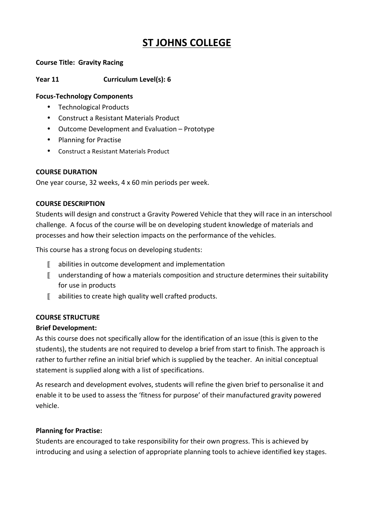# **ST JOHNS COLLEGE**

#### **Course Title: Gravity Racing**

## **Year 11 Curriculum Level(s): 6**

#### **Focus-Technology Components**

- Technological Products
- Construct a Resistant Materials Product
- Outcome Development and Evaluation Prototype
- Planning for Practise
- Construct a Resistant Materials Product

#### **COURSE DURATION**

One year course, 32 weeks, 4 x 60 min periods per week.

#### **COURSE DESCRIPTION**

Students will design and construct a Gravity Powered Vehicle that they will race in an interschool challenge. A focus of the course will be on developing student knowledge of materials and processes and how their selection impacts on the performance of the vehicles.

This course has a strong focus on developing students:

- $\mathbb I$  abilities in outcome development and implementation
- $\mathbb I$  understanding of how a materials composition and structure determines their suitability for use in products
- $\mathbb I$  abilities to create high quality well crafted products.

## **COURSE STRUCTURE**

## **Brief Development:**

As this course does not specifically allow for the identification of an issue (this is given to the students), the students are not required to develop a brief from start to finish. The approach is rather to further refine an initial brief which is supplied by the teacher. An initial conceptual statement is supplied along with a list of specifications.

As research and development evolves, students will refine the given brief to personalise it and enable it to be used to assess the 'fitness for purpose' of their manufactured gravity powered vehicle.

#### **Planning for Practise:**

Students are encouraged to take responsibility for their own progress. This is achieved by introducing and using a selection of appropriate planning tools to achieve identified key stages.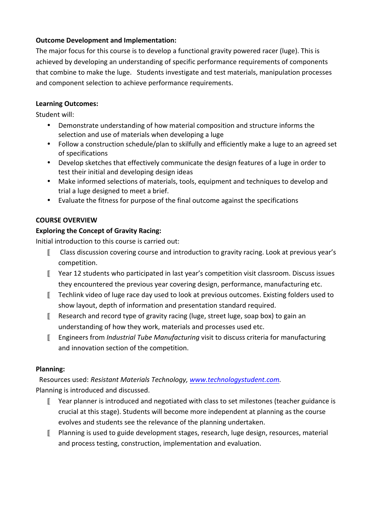## **Outcome Development and Implementation:**

The major focus for this course is to develop a functional gravity powered racer (luge). This is achieved by developing an understanding of specific performance requirements of components that combine to make the luge. Students investigate and test materials, manipulation processes and component selection to achieve performance requirements.

## **Learning#Outcomes:**

Student will:

- Demonstrate understanding of how material composition and structure informs the selection and use of materials when developing a luge
- Follow a construction schedule/plan to skilfully and efficiently make a luge to an agreed set of specifications
- Develop sketches that effectively communicate the design features of a luge in order to test their initial and developing design ideas
- Make informed selections of materials, tools, equipment and techniques to develop and trial a luge designed to meet a brief.
- Evaluate the fitness for purpose of the final outcome against the specifications

## **COURSE OVERVIEW**

## **Exploring the Concept of Gravity Racing:**

Initial introduction to this course is carried out:

- $\mathbb I$  Class discussion covering course and introduction to gravity racing. Look at previous year's competition.
- $\mathbb I$  Year 12 students who participated in last year's competition visit classroom. Discuss issues they encountered the previous year covering design, performance, manufacturing etc.
- $\mathbb I$  Techlink video of luge race day used to look at previous outcomes. Existing folders used to show layout, depth of information and presentation standard required.
- $\mathbb I$  Research and record type of gravity racing (luge, street luge, soap box) to gain an understanding of how they work, materials and processes used etc.
- Engineers+from+*Industrial+Tube+Manufacturing* visit+to+discuss+criteria+for+manufacturing+ and innovation section of the competition.

## **Planning:**

++Resources+used: *Resistant+Materials+Technology,+www.technologystudent.com.+* Planning is introduced and discussed.

- $\mathbb I$  Year planner is introduced and negotiated with class to set milestones (teacher guidance is crucial at this stage). Students will become more independent at planning as the course evolves and students see the relevance of the planning undertaken.
- $\mathbb{F}$  Planning is used to guide development stages, research, luge design, resources, material and process testing, construction, implementation and evaluation.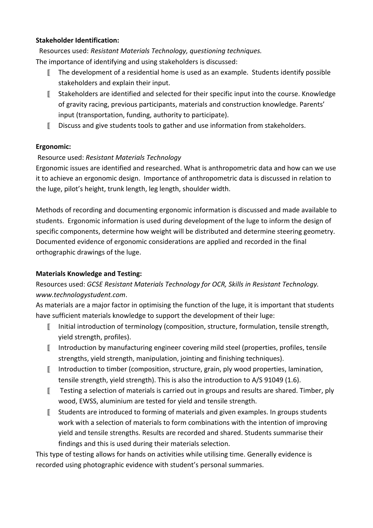## **Stakeholder Identification:**

Resources used: Resistant Materials Technology, questioning techniques. The importance of identifying and using stakeholders is discussed:

- $\mathbb I$  The development of a residential home is used as an example. Students identify possible stakeholders and explain their input.
- $\mathbb I$  Stakeholders are identified and selected for their specific input into the course. Knowledge of gravity racing, previous participants, materials and construction knowledge. Parents' input (transportation, funding, authority to participate).
- $\mathbb I$  Discuss and give students tools to gather and use information from stakeholders.

## **Ergonomic:**

## Resource+used:+*Resistant+Materials+Technology*

Ergonomic issues are identified and researched. What is anthropometric data and how can we use it to achieve an ergonomic design. Importance of anthropometric data is discussed in relation to the luge, pilot's height, trunk length, leg length, shoulder width.

Methods of recording and documenting ergonomic information is discussed and made available to students. Ergonomic information is used during development of the luge to inform the design of specific components, determine how weight will be distributed and determine steering geometry. Documented evidence of ergonomic considerations are applied and recorded in the final orthographic drawings of the luge.

## **Materials Knowledge and Testing:**

## Resources used: *GCSE Resistant Materials Technology for OCR, Skills in Resistant Technology. www.technologystudent.com*.+

As materials are a major factor in optimising the function of the luge, it is important that students have sufficient materials knowledge to support the development of their luge:

- $\mathbb{I}$  Initial introduction of terminology (composition, structure, formulation, tensile strength, yield strength, profiles).
- Introduction by manufacturing engineer covering mild steel (properties, profiles, tensile strengths, yield strength, manipulation, jointing and finishing techniques).
- $\blacksquare$  Introduction to timber (composition, structure, grain, ply wood properties, lamination, tensile strength, yield strength). This is also the introduction to  $A/S$  91049 (1.6).
- $\mathbb I$  Testing a selection of materials is carried out in groups and results are shared. Timber, ply wood, EWSS, aluminium are tested for yield and tensile strength.
- $\mathbb I$  Students are introduced to forming of materials and given examples. In groups students work with a selection of materials to form combinations with the intention of improving yield and tensile strengths. Results are recorded and shared. Students summarise their findings and this is used during their materials selection.

This type of testing allows for hands on activities while utilising time. Generally evidence is recorded using photographic evidence with student's personal summaries.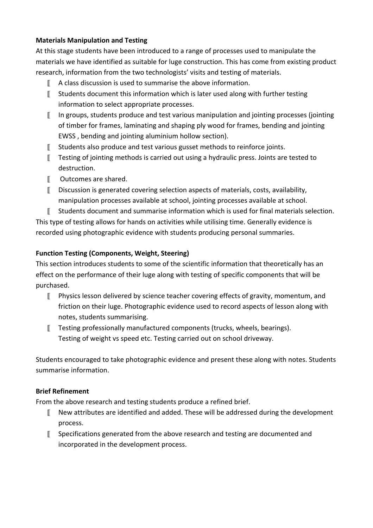## **Materials Manipulation and Testing**

At this stage students have been introduced to a range of processes used to manipulate the materials we have identified as suitable for luge construction. This has come from existing product research, information from the two technologists' visits and testing of materials.

- $\parallel$  A class discussion is used to summarise the above information.
- $\mathbb I$  Students document this information which is later used along with further testing information to select appropriate processes.
- $\llbracket$  In groups, students produce and test various manipulation and jointing processes (jointing of timber for frames, laminating and shaping ply wood for frames, bending and jointing EWSS, bending and jointing aluminium hollow section).
- $\llbracket$  Students also produce and test various gusset methods to reinforce joints.
- $\mathbb I$  Testing of jointing methods is carried out using a hydraulic press. Joints are tested to destruction.
- $\mathbb{I}$  Outcomes are shared.
- $\llbracket$  Discussion is generated covering selection aspects of materials, costs, availability, manipulation processes available at school, jointing processes available at school.
- Students document and summarise information which is used for final materials selection.

This type of testing allows for hands on activities while utilising time. Generally evidence is recorded using photographic evidence with students producing personal summaries.

## **Function Testing (Components, Weight, Steering)**

This section introduces students to some of the scientific information that theoretically has an effect on the performance of their luge along with testing of specific components that will be purchased.

- $\mathbb{F}$  Physics lesson delivered by science teacher covering effects of gravity, momentum, and friction on their luge. Photographic evidence used to record aspects of lesson along with notes, students summarising.
- $\mathbb I$  Testing professionally manufactured components (trucks, wheels, bearings). Testing of weight vs speed etc. Testing carried out on school driveway.

Students encouraged to take photographic evidence and present these along with notes. Students summarise information.

## **Brief Refinement**

From the above research and testing students produce a refined brief.

- $\blacksquare$  New attributes are identified and added. These will be addressed during the development process.
- $\llbracket$  Specifications generated from the above research and testing are documented and incorporated in the development process.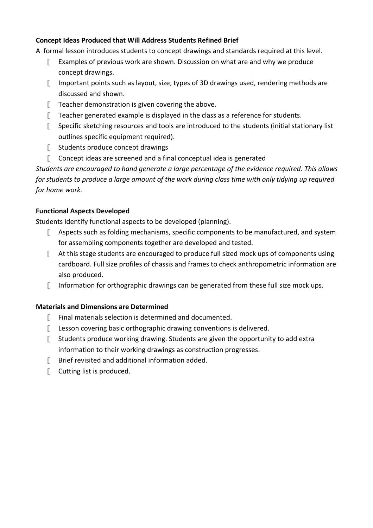## **Concept Ideas Produced that Will Address Students Refined Brief**

A formal lesson introduces students to concept drawings and standards required at this level.

- $\llbracket$  Examples of previous work are shown. Discussion on what are and why we produce concept drawings.
- Important points such as layout, size, types of 3D drawings used, rendering methods are discussed and shown.
- $\mathbb I$  Teacher demonstration is given covering the above.
- $\mathbb I$  Teacher generated example is displayed in the class as a reference for students.
- $\mathbb{S}$  Specific sketching resources and tools are introduced to the students (initial stationary list outlines specific equipment required).
- $\llbracket$  Students produce concept drawings
- $\llbracket$  Concept ideas are screened and a final conceptual idea is generated

*Students+are+encouraged+to+hand generate+a+large+percentage+of+the+evidence+required.+This+allows+ for students to produce a large amount of the work during class time with only tidying up required for home work.* 

## **Functional Aspects Developed**

Students identify functional aspects to be developed (planning).

- $\mathbb I$  Aspects such as folding mechanisms, specific components to be manufactured, and system for assembling components together are developed and tested.
- $\llbracket$  At this stage students are encouraged to produce full sized mock ups of components using cardboard. Full size profiles of chassis and frames to check anthropometric information are also produced.
- $\mathbb I$  Information for orthographic drawings can be generated from these full size mock ups.

## **Materials and Dimensions are Determined**

- $\mathbb{F}$  Final materials selection is determined and documented.
- $\llbracket$  Lesson covering basic orthographic drawing conventions is delivered.
- $\mathbb I$  Students produce working drawing. Students are given the opportunity to add extra information to their working drawings as construction progresses.
- $\mathbb I$  Brief revisited and additional information added.
- $\llbracket$  Cutting list is produced.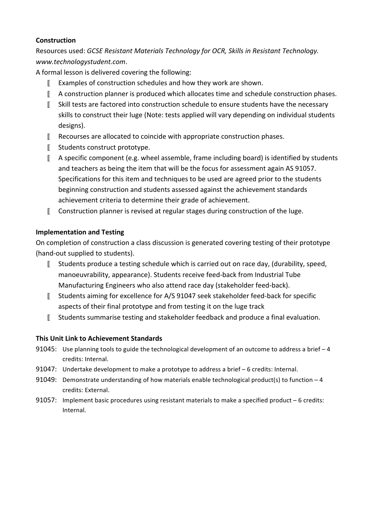#### **Construction**

Resources used: *GCSE Resistant Materials Technology for OCR, Skills in Resistant Technology. www.technologystudent.com*.+

A formal lesson is delivered covering the following:

- $\llbracket$  Examples of construction schedules and how they work are shown.
- $\parallel$  A construction planner is produced which allocates time and schedule construction phases.
- $\mathbb I$  Skill tests are factored into construction schedule to ensure students have the necessary skills to construct their luge (Note: tests applied will vary depending on individual students designs).
- $\mathbb I$  Recourses are allocated to coincide with appropriate construction phases.
- $\llbracket$  Students construct prototype.
- $\parallel$  A specific component (e.g. wheel assemble, frame including board) is identified by students and teachers as being the item that will be the focus for assessment again AS 91057. Specifications for this item and techniques to be used are agreed prior to the students beginning construction and students assessed against the achievement standards achievement criteria to determine their grade of achievement.
- $\mathbb I$  Construction planner is revised at regular stages during construction of the luge.

## **Implementation and Testing**

On completion of construction a class discussion is generated covering testing of their prototype (hand-out supplied to students).

- $\mathbb I$  Students produce a testing schedule which is carried out on race day, (durability, speed, manoeuvrability, appearance). Students receive feed-back from Industrial Tube Manufacturing Engineers who also attend race day (stakeholder feed-back).
- Students aiming for excellence for A/S 91047 seek stakeholder feed-back for specific aspects of their final prototype and from testing it on the luge track
- $\mathbb I$  Students summarise testing and stakeholder feedback and produce a final evaluation.

## **This Unit Link to Achievement Standards**

- 91045: Use planning tools to guide the technological development of an outcome to address a brief  $-4$ credits: Internal.
- 91047: Undertake development to make a prototype to address a brief  $-6$  credits: Internal.
- 91049: Demonstrate understanding of how materials enable technological product(s) to function  $-4$ credits: External.
- 91057: Implement basic procedures using resistant materials to make a specified product  $-6$  credits: Internal.